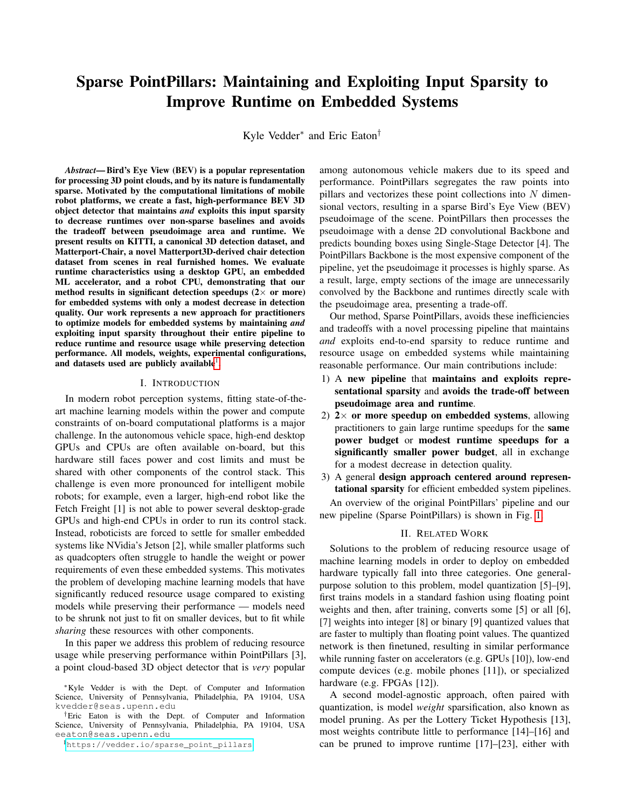# Sparse PointPillars: Maintaining and Exploiting Input Sparsity to Improve Runtime on Embedded Systems

Kyle Vedder<sup>∗</sup> and Eric Eaton†

*Abstract*— Bird's Eye View (BEV) is a popular representation for processing 3D point clouds, and by its nature is fundamentally sparse. Motivated by the computational limitations of mobile robot platforms, we create a fast, high-performance BEV 3D object detector that maintains *and* exploits this input sparsity to decrease runtimes over non-sparse baselines and avoids the tradeoff between pseudoimage area and runtime. We present results on KITTI, a canonical 3D detection dataset, and Matterport-Chair, a novel Matterport3D-derived chair detection dataset from scenes in real furnished homes. We evaluate runtime characteristics using a desktop GPU, an embedded ML accelerator, and a robot CPU, demonstrating that our method results in significant detection speedups  $(2 \times$  or more) for embedded systems with only a modest decrease in detection quality. Our work represents a new approach for practitioners to optimize models for embedded systems by maintaining *and* exploiting input sparsity throughout their entire pipeline to reduce runtime and resource usage while preserving detection performance. All models, weights, experimental configurations, and datasets used are publicly available<sup>[1](#page-0-0)</sup>.

### I. INTRODUCTION

In modern robot perception systems, fitting state-of-theart machine learning models within the power and compute constraints of on-board computational platforms is a major challenge. In the autonomous vehicle space, high-end desktop GPUs and CPUs are often available on-board, but this hardware still faces power and cost limits and must be shared with other components of the control stack. This challenge is even more pronounced for intelligent mobile robots; for example, even a larger, high-end robot like the Fetch Freight [1] is not able to power several desktop-grade GPUs and high-end CPUs in order to run its control stack. Instead, roboticists are forced to settle for smaller embedded systems like NVidia's Jetson [2], while smaller platforms such as quadcopters often struggle to handle the weight or power requirements of even these embedded systems. This motivates the problem of developing machine learning models that have significantly reduced resource usage compared to existing models while preserving their performance — models need to be shrunk not just to fit on smaller devices, but to fit while *sharing* these resources with other components.

In this paper we address this problem of reducing resource usage while preserving performance within PointPillars [3], a point cloud-based 3D object detector that is *very* popular

among autonomous vehicle makers due to its speed and performance. PointPillars segregates the raw points into pillars and vectorizes these point collections into  $N$  dimensional vectors, resulting in a sparse Bird's Eye View (BEV) pseudoimage of the scene. PointPillars then processes the pseudoimage with a dense 2D convolutional Backbone and predicts bounding boxes using Single-Stage Detector [4]. The PointPillars Backbone is the most expensive component of the pipeline, yet the pseudoimage it processes is highly sparse. As a result, large, empty sections of the image are unnecessarily convolved by the Backbone and runtimes directly scale with the pseudoimage area, presenting a trade-off.

Our method, Sparse PointPillars, avoids these inefficiencies and tradeoffs with a novel processing pipeline that maintains *and* exploits end-to-end sparsity to reduce runtime and resource usage on embedded systems while maintaining reasonable performance. Our main contributions include:

- 1) A new pipeline that maintains and exploits representational sparsity and avoids the trade-off between pseudoimage area and runtime.
- 2)  $2 \times$  or more speedup on embedded systems, allowing practitioners to gain large runtime speedups for the same power budget or modest runtime speedups for a significantly smaller power budget, all in exchange for a modest decrease in detection quality.
- 3) A general design approach centered around representational sparsity for efficient embedded system pipelines. An overview of the original PointPillars' pipeline and our new pipeline (Sparse PointPillars) is shown in Fig. [1.](#page-1-0)

#### II. RELATED WORK

<span id="page-0-1"></span>Solutions to the problem of reducing resource usage of machine learning models in order to deploy on embedded hardware typically fall into three categories. One generalpurpose solution to this problem, model quantization [5]–[9], first trains models in a standard fashion using floating point weights and then, after training, converts some [5] or all [6], [7] weights into integer [8] or binary [9] quantized values that are faster to multiply than floating point values. The quantized network is then finetuned, resulting in similar performance while running faster on accelerators (e.g. GPUs [10]), low-end compute devices (e.g. mobile phones [11]), or specialized hardware (e.g. FPGAs [12]).

A second model-agnostic approach, often paired with quantization, is model *weight* sparsification, also known as model pruning. As per the Lottery Ticket Hypothesis [13], most weights contribute little to performance [14]–[16] and can be pruned to improve runtime [17]–[23], either with

<sup>∗</sup>Kyle Vedder is with the Dept. of Computer and Information Science, University of Pennsylvania, Philadelphia, PA 19104, USA kvedder@seas.upenn.edu

<sup>†</sup>Eric Eaton is with the Dept. of Computer and Information Science, University of Pennsylvania, Philadelphia, PA 19104, USA eeaton@seas.upenn.edu

<span id="page-0-0"></span><sup>&</sup>lt;sup>1</sup>[https://vedder.io/sparse\\_point\\_pillars](https://vedder.io/sparse_point_pillars)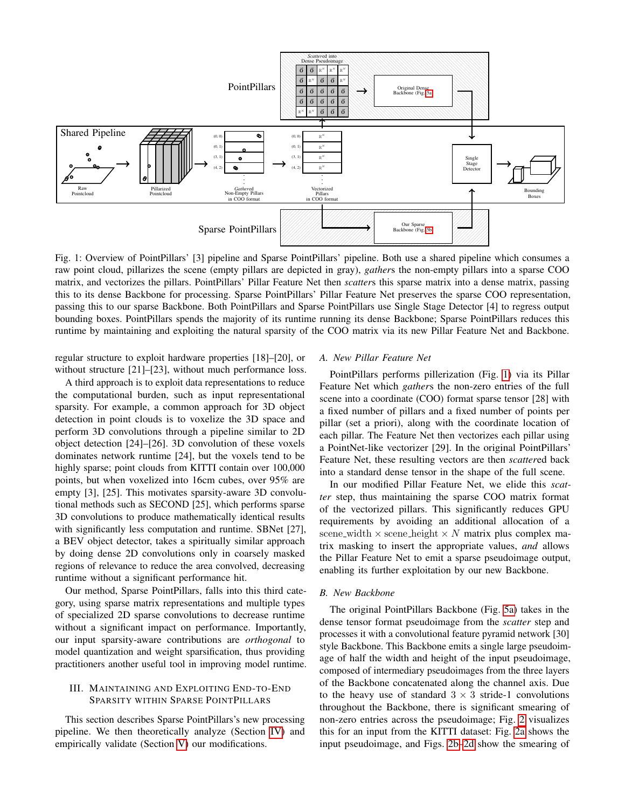<span id="page-1-0"></span>

Fig. 1: Overview of PointPillars' [3] pipeline and Sparse PointPillars' pipeline. Both use a shared pipeline which consumes a raw point cloud, pillarizes the scene (empty pillars are depicted in gray), *gather*s the non-empty pillars into a sparse COO matrix, and vectorizes the pillars. PointPillars' Pillar Feature Net then *scatter*s this sparse matrix into a dense matrix, passing this to its dense Backbone for processing. Sparse PointPillars' Pillar Feature Net preserves the sparse COO representation, passing this to our sparse Backbone. Both PointPillars and Sparse PointPillars use Single Stage Detector [4] to regress output bounding boxes. PointPillars spends the majority of its runtime running its dense Backbone; Sparse PointPillars reduces this runtime by maintaining and exploiting the natural sparsity of the COO matrix via its new Pillar Feature Net and Backbone.

regular structure to exploit hardware properties [18]–[20], or without structure [21]–[23], without much performance loss.

A third approach is to exploit data representations to reduce the computational burden, such as input representational sparsity. For example, a common approach for 3D object detection in point clouds is to voxelize the 3D space and perform 3D convolutions through a pipeline similar to 2D object detection [24]–[26]. 3D convolution of these voxels dominates network runtime [24], but the voxels tend to be highly sparse; point clouds from KITTI contain over  $100,000$ points, but when voxelized into 16cm cubes, over 95% are empty [3], [25]. This motivates sparsity-aware 3D convolutional methods such as SECOND [25], which performs sparse 3D convolutions to produce mathematically identical results with significantly less computation and runtime. SBNet [27], a BEV object detector, takes a spiritually similar approach by doing dense 2D convolutions only in coarsely masked regions of relevance to reduce the area convolved, decreasing runtime without a significant performance hit.

Our method, Sparse PointPillars, falls into this third category, using sparse matrix representations and multiple types of specialized 2D sparse convolutions to decrease runtime without a significant impact on performance. Importantly, our input sparsity-aware contributions are *orthogonal* to model quantization and weight sparsification, thus providing practitioners another useful tool in improving model runtime.

## III. MAINTAINING AND EXPLOITING END-TO-END SPARSITY WITHIN SPARSE POINTPILLARS

This section describes Sparse PointPillars's new processing pipeline. We then theoretically analyze (Section [IV\)](#page-2-0) and empirically validate (Section [V\)](#page-3-1) our modifications.

#### *A. New Pillar Feature Net*

PointPillars performs pillerization (Fig. [1\)](#page-1-0) via its Pillar Feature Net which *gather*s the non-zero entries of the full scene into a coordinate (COO) format sparse tensor [28] with a fixed number of pillars and a fixed number of points per pillar (set a priori), along with the coordinate location of each pillar. The Feature Net then vectorizes each pillar using a PointNet-like vectorizer [29]. In the original PointPillars' Feature Net, these resulting vectors are then *scatter*ed back into a standard dense tensor in the shape of the full scene.

In our modified Pillar Feature Net, we elide this *scatter* step, thus maintaining the sparse COO matrix format of the vectorized pillars. This significantly reduces GPU requirements by avoiding an additional allocation of a scene width  $\times$  scene height  $\times$  N matrix plus complex matrix masking to insert the appropriate values, *and* allows the Pillar Feature Net to emit a sparse pseudoimage output, enabling its further exploitation by our new Backbone.

#### *B. New Backbone*

The original PointPillars Backbone (Fig. [5a\)](#page-3-0) takes in the dense tensor format pseudoimage from the *scatter* step and processes it with a convolutional feature pyramid network [30] style Backbone. This Backbone emits a single large pseudoimage of half the width and height of the input pseudoimage, composed of intermediary pseudoimages from the three layers of the Backbone concatenated along the channel axis. Due to the heavy use of standard  $3 \times 3$  stride-1 convolutions throughout the Backbone, there is significant smearing of non-zero entries across the pseudoimage; Fig. [2](#page-2-1) visualizes this for an input from the KITTI dataset: Fig. [2a](#page-2-1) shows the input pseudoimage, and Figs. [2b–2d](#page-2-1) show the smearing of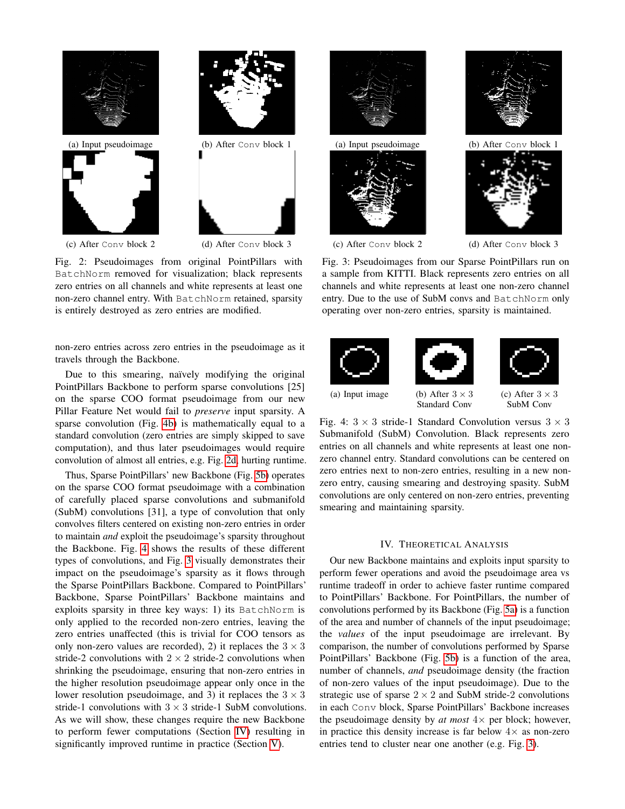<span id="page-2-1"></span>

(c) After Conv block 2 (d) After Conv block 3

Fig. 2: Pseudoimages from original PointPillars with BatchNorm removed for visualization; black represents zero entries on all channels and white represents at least one non-zero channel entry. With BatchNorm retained, sparsity is entirely destroyed as zero entries are modified.

non-zero entries across zero entries in the pseudoimage as it travels through the Backbone.

Due to this smearing, naïvely modifying the original PointPillars Backbone to perform sparse convolutions [25] on the sparse COO format pseudoimage from our new Pillar Feature Net would fail to *preserve* input sparsity. A sparse convolution (Fig. [4b\)](#page-2-2) is mathematically equal to a standard convolution (zero entries are simply skipped to save computation), and thus later pseudoimages would require convolution of almost all entries, e.g. Fig. [2d,](#page-2-1) hurting runtime.

Thus, Sparse PointPillars' new Backbone (Fig. [5b\)](#page-3-0) operates on the sparse COO format pseudoimage with a combination of carefully placed sparse convolutions and submanifold (SubM) convolutions [31], a type of convolution that only convolves filters centered on existing non-zero entries in order to maintain *and* exploit the pseudoimage's sparsity throughout the Backbone. Fig. [4](#page-2-2) shows the results of these different types of convolutions, and Fig. [3](#page-2-1) visually demonstrates their impact on the pseudoimage's sparsity as it flows through the Sparse PointPillars Backbone. Compared to PointPillars' Backbone, Sparse PointPillars' Backbone maintains and exploits sparsity in three key ways: 1) its BatchNorm is only applied to the recorded non-zero entries, leaving the zero entries unaffected (this is trivial for COO tensors as only non-zero values are recorded), 2) it replaces the  $3 \times 3$ stride-2 convolutions with  $2 \times 2$  stride-2 convolutions when shrinking the pseudoimage, ensuring that non-zero entries in the higher resolution pseudoimage appear only once in the lower resolution pseudoimage, and 3) it replaces the  $3 \times 3$ stride-1 convolutions with  $3 \times 3$  stride-1 SubM convolutions. As we will show, these changes require the new Backbone to perform fewer computations (Section [IV\)](#page-2-0) resulting in significantly improved runtime in practice (Section [V\)](#page-3-1).



(c) After Conv block 2 (d) After Conv block 3

Fig. 3: Pseudoimages from our Sparse PointPillars run on a sample from KITTI. Black represents zero entries on all channels and white represents at least one non-zero channel entry. Due to the use of SubM convs and BatchNorm only operating over non-zero entries, sparsity is maintained.

<span id="page-2-2"></span>

Standard Conv



Fig. 4:  $3 \times 3$  stride-1 Standard Convolution versus  $3 \times 3$ Submanifold (SubM) Convolution. Black represents zero entries on all channels and white represents at least one nonzero channel entry. Standard convolutions can be centered on zero entries next to non-zero entries, resulting in a new nonzero entry, causing smearing and destroying spasity. SubM convolutions are only centered on non-zero entries, preventing smearing and maintaining sparsity.

#### IV. THEORETICAL ANALYSIS

<span id="page-2-0"></span>Our new Backbone maintains and exploits input sparsity to perform fewer operations and avoid the pseudoimage area vs runtime tradeoff in order to achieve faster runtime compared to PointPillars' Backbone. For PointPillars, the number of convolutions performed by its Backbone (Fig. [5a\)](#page-3-0) is a function of the area and number of channels of the input pseudoimage; the *values* of the input pseudoimage are irrelevant. By comparison, the number of convolutions performed by Sparse PointPillars' Backbone (Fig. [5b\)](#page-3-0) is a function of the area, number of channels, *and* pseudoimage density (the fraction of non-zero values of the input pseudoimage). Due to the strategic use of sparse  $2 \times 2$  and SubM stride-2 convolutions in each Conv block, Sparse PointPillars' Backbone increases the pseudoimage density by  $at$  most  $4 \times$  per block; however, in practice this density increase is far below  $4\times$  as non-zero entries tend to cluster near one another (e.g. Fig. [3\)](#page-2-1).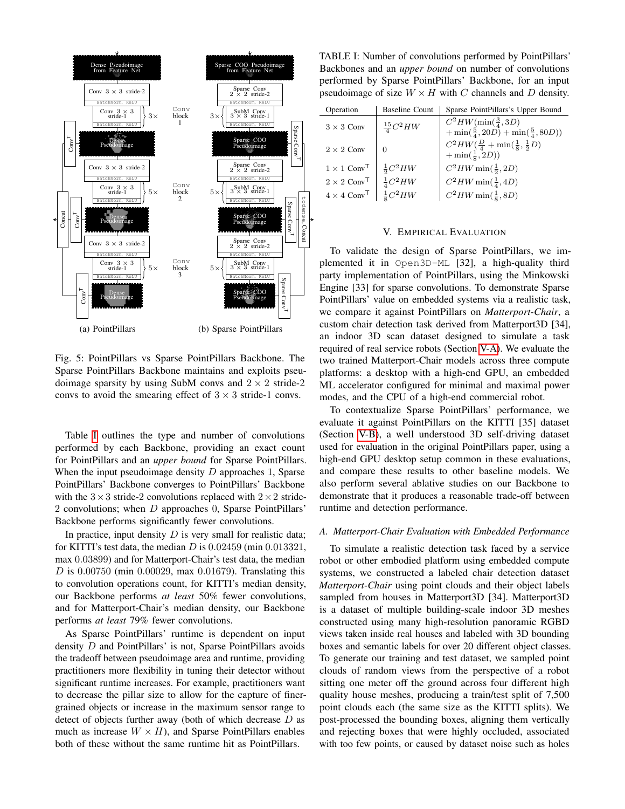<span id="page-3-0"></span>

Fig. 5: PointPillars vs Sparse PointPillars Backbone. The Sparse PointPillars Backbone maintains and exploits pseudoimage sparsity by using SubM convs and  $2 \times 2$  stride-2 convs to avoid the smearing effect of  $3 \times 3$  stride-1 convs.

Table [I](#page-3-2) outlines the type and number of convolutions performed by each Backbone, providing an exact count for PointPillars and an *upper bound* for Sparse PointPillars. When the input pseudoimage density  $D$  approaches 1, Sparse PointPillars' Backbone converges to PointPillars' Backbone with the  $3 \times 3$  stride-2 convolutions replaced with  $2 \times 2$  stride-2 convolutions; when D approaches 0, Sparse PointPillars' Backbone performs significantly fewer convolutions.

In practice, input density  $D$  is very small for realistic data; for KITTI's test data, the median  $D$  is  $0.02459$  (min  $0.013321$ , max 0.03899) and for Matterport-Chair's test data, the median  $D$  is 0.00750 (min 0.00029, max 0.01679). Translating this to convolution operations count, for KITTI's median density, our Backbone performs *at least* 50% fewer convolutions, and for Matterport-Chair's median density, our Backbone performs *at least* 79% fewer convolutions.

As Sparse PointPillars' runtime is dependent on input density D and PointPillars' is not, Sparse PointPillars avoids the tradeoff between pseudoimage area and runtime, providing practitioners more flexibility in tuning their detector without significant runtime increases. For example, practitioners want to decrease the pillar size to allow for the capture of finergrained objects or increase in the maximum sensor range to detect of objects further away (both of which decrease D as much as increase  $W \times H$ ), and Sparse PointPillars enables both of these without the same runtime hit as PointPillars.

<span id="page-3-2"></span>TABLE I: Number of convolutions performed by PointPillars' Backbones and an *upper bound* on number of convolutions performed by Sparse PointPillars' Backbone, for an input pseudoimage of size  $W \times H$  with C channels and D density.

| Operation                      | <b>Baseline Count</b> | Sparse PointPillars's Upper Bound                      |
|--------------------------------|-----------------------|--------------------------------------------------------|
| $3 \times 3$ Conv              | $\frac{15}{4}C^2HW$   | $C^2HW(\min(\frac{3}{4},3D))$                          |
|                                |                       | $+\min(\frac{5}{4}, 20D) + \min(\frac{5}{4}, 80D))$    |
| $2 \times 2$ Conv              |                       | $C^2HW(\frac{D}{4} + \min(\frac{1}{8}, \frac{1}{2}D))$ |
|                                |                       | $+\min(\frac{1}{8}, 2D))$                              |
| $1 \times 1$ Conv <sup>T</sup> | $\frac{1}{2}C^2HW$    | $C^2HW \min(\frac{1}{2}, 2D)$                          |
| $2 \times 2$ Conv <sup>T</sup> | $\frac{1}{4}C^2HW$    | $C^2HW \min(\frac{1}{4}, 4D)$                          |
| $4 \times 4$ Conv <sup>T</sup> | $\frac{1}{8}C^2HW$    | $C^2HW \min(\frac{1}{8}, 8D)$                          |

#### V. EMPIRICAL EVALUATION

<span id="page-3-1"></span>To validate the design of Sparse PointPillars, we implemented it in Open3D-ML [32], a high-quality third party implementation of PointPillars, using the Minkowski Engine [33] for sparse convolutions. To demonstrate Sparse PointPillars' value on embedded systems via a realistic task, we compare it against PointPillars on *Matterport-Chair*, a custom chair detection task derived from Matterport3D [34], an indoor 3D scan dataset designed to simulate a task required of real service robots (Section [V-A\)](#page-3-3). We evaluate the two trained Matterport-Chair models across three compute platforms: a desktop with a high-end GPU, an embedded ML accelerator configured for minimal and maximal power modes, and the CPU of a high-end commercial robot.

To contextualize Sparse PointPillars' performance, we evaluate it against PointPillars on the KITTI [35] dataset (Section [V-B\)](#page-4-0), a well understood 3D self-driving dataset used for evaluation in the original PointPillars paper, using a high-end GPU desktop setup common in these evaluations, and compare these results to other baseline models. We also perform several ablative studies on our Backbone to demonstrate that it produces a reasonable trade-off between runtime and detection performance.

#### <span id="page-3-3"></span>*A. Matterport-Chair Evaluation with Embedded Performance*

To simulate a realistic detection task faced by a service robot or other embodied platform using embedded compute systems, we constructed a labeled chair detection dataset *Matterport-Chair* using point clouds and their object labels sampled from houses in Matterport3D [34]. Matterport3D is a dataset of multiple building-scale indoor 3D meshes constructed using many high-resolution panoramic RGBD views taken inside real houses and labeled with 3D bounding boxes and semantic labels for over 20 different object classes. To generate our training and test dataset, we sampled point clouds of random views from the perspective of a robot sitting one meter off the ground across four different high quality house meshes, producing a train/test split of 7,500 point clouds each (the same size as the KITTI splits). We post-processed the bounding boxes, aligning them vertically and rejecting boxes that were highly occluded, associated with too few points, or caused by dataset noise such as holes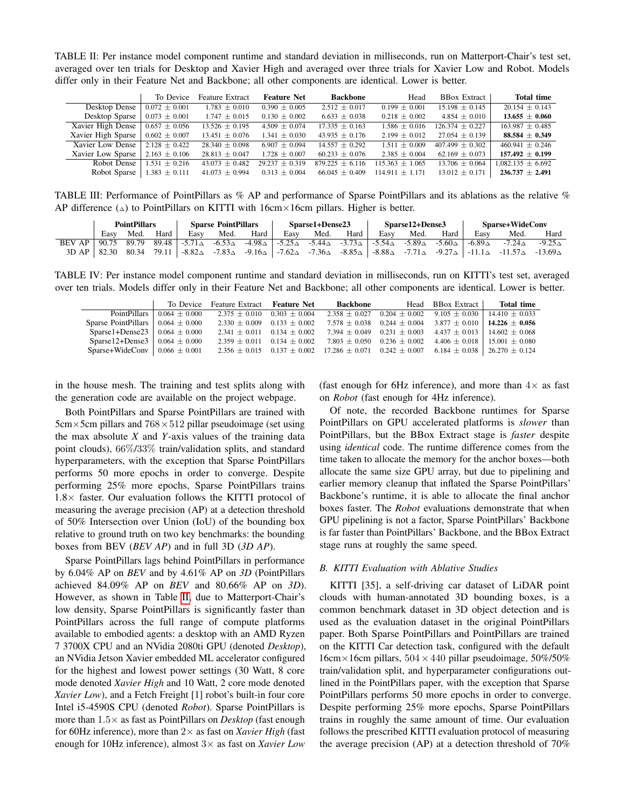<span id="page-4-1"></span>TABLE II: Per instance model component runtime and standard deviation in milliseconds, run on Matterport-Chair's test set, averaged over ten trials for Desktop and Xavier High and averaged over three trials for Xavier Low and Robot. Models differ only in their Feature Net and Backbone; all other components are identical. Lower is better.

|                                             | To Device         | <b>Feature Extract</b> | <b>Feature Net</b> | <b>Backbone</b>     | Head                | <b>BBox Extract</b> | <b>Total time</b>     |
|---------------------------------------------|-------------------|------------------------|--------------------|---------------------|---------------------|---------------------|-----------------------|
| Desktop Dense                               | $0.072 \pm 0.001$ | $1.783 \pm 0.010$      | $0.390 \pm 0.005$  | $2.512 \pm 0.017$   | $0.199 \pm 0.001$   | $15.198 \pm 0.145$  | $20.154 \pm 0.143$    |
| Desktop Sparse                              | $0.073 \pm 0.001$ | $1.747 \pm 0.015$      | $0.130 \pm 0.002$  | $6.633 \pm 0.038$   | $0.218 \pm 0.002$   | $4.854 \pm 0.010$   | $13.655 \pm 0.060$    |
| Xavier High Dense $\vert$ 0.657 $\pm$ 0.056 |                   | $13.526 \pm 0.195$     | $4.509 \pm 0.074$  | $17.335 \pm 0.163$  | $1.586 \pm 0.016$   | $126.374 \pm 0.227$ | $163.987 \pm 0.485$   |
| Xavier High Sparse                          | $0.602 \pm 0.007$ | $13.451 \pm 0.076$     | $1.341 \pm 0.030$  | 43.935 $\pm$ 0.176  | $2.199 \pm 0.012$   | $27.054 \pm 0.139$  | $88.584 \pm 0.349$    |
| Xavier Low Dense                            | $2.128 \pm 0.422$ | $28.340 \pm 0.098$     | $6.907 + 0.094$    | $14.557 \pm 0.292$  | $1.511 \pm 0.009$   | $407.499 \pm 0.302$ | $460.941 \pm 0.246$   |
| Xavier Low Sparse                           | $2.163 \pm 0.106$ | $28.813 \pm 0.047$     | $1.728 \pm 0.007$  | $60.233 \pm 0.076$  | $2.385 \pm 0.004$   | $62.169 \pm 0.073$  | $157.492 \pm 0.199$   |
| Robot Dense                                 | $1.531 \pm 0.216$ | $43.073 \pm 0.482$     | $29.237 \pm 0.319$ | $879.225 \pm 6.116$ | $115.363 \pm 1.065$ | $13.706 \pm 0.064$  | $1.082.135 \pm 6.692$ |
| Robot Sparse                                | $1.383 \pm 0.111$ | $41.073 \pm 0.994$     | $0.313 \pm 0.004$  | $66.045 \pm 0.409$  | $114.911 \pm 1.171$ | $13.012 \pm 0.171$  | $236.737 \pm 2.491$   |

<span id="page-4-2"></span>TABLE III: Performance of PointPillars as % AP and performance of Sparse PointPillars and its ablations as the relative % AP difference ( $\Delta$ ) to PointPillars on KITTI with 16cm × 16cm pillars. Higher is better.

|        | <b>PointPillars</b> |       | <b>Sparse PointPillars</b> |                   | Sparse1+Dense23  |                  |                  | Sparse12+Dense3                                  |                  |                  | <b>Sparse+WideConv</b> |                                 |                  |                   |                   |
|--------|---------------------|-------|----------------------------|-------------------|------------------|------------------|------------------|--------------------------------------------------|------------------|------------------|------------------------|---------------------------------|------------------|-------------------|-------------------|
|        | Easy                | Med.  | Hard                       | Easv              | Med.             | Hard             | Easv             | Med.                                             | Hard             | Easy             | Med.                   | Hard                            | Easy             | Med.              | Hard              |
| BEV AP | 90.75               | 89.79 | 89.48                      | $-5.71\triangle$  | $-6.53\triangle$ | $-4.98\triangle$ |                  | $ -5.25\triangle -5.44\triangle -3.73\triangle $ |                  | $-5.54\triangle$ |                        | $-5.89\triangle -5.60\triangle$ | $-6.89\triangle$ | $-7.24\triangle$  | $-9.25\triangle$  |
| 3DAP   | 82.30               | 80.34 | 79.11                      | -8.82 $\triangle$ | $-7.83\triangle$ | $-9.16\triangle$ | $-7.62\triangle$ | -7.36 $\triangle$                                | $-8.85\triangle$ | $-8.88\triangle$ |                        | $-7.71\triangle -9.27\triangle$ | $-11.1\Delta$    | $-11.57\triangle$ | $-13.69\triangle$ |

<span id="page-4-3"></span>TABLE IV: Per instance model component runtime and standard deviation in milliseconds, run on KITTI's test set, averaged over ten trials. Models differ only in their Feature Net and Backbone; all other components are identical. Lower is better.

|                                                   |                                        | To Device Feature Extract <b>Feature Net</b> | Backbone                                                                                                        | Head BBox Extract                                                        | Total time                             |
|---------------------------------------------------|----------------------------------------|----------------------------------------------|-----------------------------------------------------------------------------------------------------------------|--------------------------------------------------------------------------|----------------------------------------|
|                                                   | PointPillars $\vert$ 0.064 $\pm$ 0.000 | $2.375 \pm 0.010$ 0.303 $\pm$ 0.004          |                                                                                                                 | $2.358 \pm 0.027$ 0.204 $\pm$ 0.002 9.105 $\pm$ 0.030                    | $14.410 + 0.033$                       |
| Sparse PointPillars $\vert 0.064 \pm 0.000 \vert$ |                                        | $2.330 \pm 0.009$ 0.133 $\pm$ 0.002          |                                                                                                                 | $7.578 \pm 0.038$ 0.244 $\pm$ 0.004 3.877 $\pm$ 0.010 14.226 $\pm$ 0.056 |                                        |
| Sparse1+Dense23   $0.064 \pm 0.000$               |                                        | $2.341 \pm 0.011$ 0.134 $\pm$ 0.002          | $7.394 \pm 0.049$ 0.231 $\pm$ 0.003                                                                             | $4.437 \pm 0.013$   $14.602 \pm 0.068$                                   |                                        |
| Sparse12+Dense3   $0.064 \pm 0.000$               |                                        | $2.359 \pm 0.011$ 0.134 $\pm$ 0.002          | $7.803 \pm 0.050$ 0.236 $\pm$ 0.002                                                                             |                                                                          | $4.406 \pm 0.018$   15.001 $\pm$ 0.080 |
| Sparse+WideConv   $0.066 \pm 0.001$               |                                        |                                              | $2.356 \pm 0.015$ $0.137 \pm 0.002$ $17.286 \pm 0.071$ $0.242 \pm 0.007$ $6.184 \pm 0.038$   26.270 $\pm$ 0.124 |                                                                          |                                        |

in the house mesh. The training and test splits along with the generation code are available on the project webpage.

Both PointPillars and Sparse PointPillars are trained with  $5cm \times 5cm$  pillars and  $768 \times 512$  pillar pseudoimage (set using the max absolute *X* and *Y*-axis values of the training data point clouds), 66%/33% train/validation splits, and standard hyperparameters, with the exception that Sparse PointPillars performs 50 more epochs in order to converge. Despite performing 25% more epochs, Sparse PointPillars trains  $1.8\times$  faster. Our evaluation follows the KITTI protocol of measuring the average precision (AP) at a detection threshold of 50% Intersection over Union (IoU) of the bounding box relative to ground truth on two key benchmarks: the bounding boxes from BEV (*BEV AP*) and in full 3D (*3D AP*).

Sparse PointPillars lags behind PointPillars in performance by 6.04% AP on *BEV* and by 4.61% AP on *3D* (PointPillars achieved 84.09% AP on *BEV* and 80.66% AP on *3D*). However, as shown in Table [II,](#page-4-1) due to Matterport-Chair's low density, Sparse PointPillars is significantly faster than PointPillars across the full range of compute platforms available to embodied agents: a desktop with an AMD Ryzen 7 3700X CPU and an NVidia 2080ti GPU (denoted *Desktop*), an NVidia Jetson Xavier embedded ML accelerator configured for the highest and lowest power settings (30 Watt, 8 core mode denoted *Xavier High* and 10 Watt, 2 core mode denoted *Xavier Low*), and a Fetch Freight [1] robot's built-in four core Intel i5-4590S CPU (denoted *Robot*). Sparse PointPillars is more than 1.5× as fast as PointPillars on *Desktop* (fast enough for 60Hz inference), more than 2× as fast on *Xavier High* (fast enough for 10Hz inference), almost 3× as fast on *Xavier Low*

(fast enough for 6Hz inference), and more than  $4\times$  as fast on *Robot* (fast enough for 4Hz inference).

Of note, the recorded Backbone runtimes for Sparse PointPillars on GPU accelerated platforms is *slower* than PointPillars, but the BBox Extract stage is *faster* despite using *identical* code. The runtime difference comes from the time taken to allocate the memory for the anchor boxes—both allocate the same size GPU array, but due to pipelining and earlier memory cleanup that inflated the Sparse PointPillars' Backbone's runtime, it is able to allocate the final anchor boxes faster. The *Robot* evaluations demonstrate that when GPU pipelining is not a factor, Sparse PointPillars' Backbone is far faster than PointPillars' Backbone, and the BBox Extract stage runs at roughly the same speed.

#### <span id="page-4-0"></span>*B. KITTI Evaluation with Ablative Studies*

KITTI [35], a self-driving car dataset of LiDAR point clouds with human-annotated 3D bounding boxes, is a common benchmark dataset in 3D object detection and is used as the evaluation dataset in the original PointPillars paper. Both Sparse PointPillars and PointPillars are trained on the KITTI Car detection task, configured with the default  $16cm \times 16cm$  pillars,  $504 \times 440$  pillar pseudoimage,  $50\%/50\%$ train/validation split, and hyperparameter configurations outlined in the PointPillars paper, with the exception that Sparse PointPillars performs 50 more epochs in order to converge. Despite performing 25% more epochs, Sparse PointPillars trains in roughly the same amount of time. Our evaluation follows the prescribed KITTI evaluation protocol of measuring the average precision (AP) at a detection threshold of 70%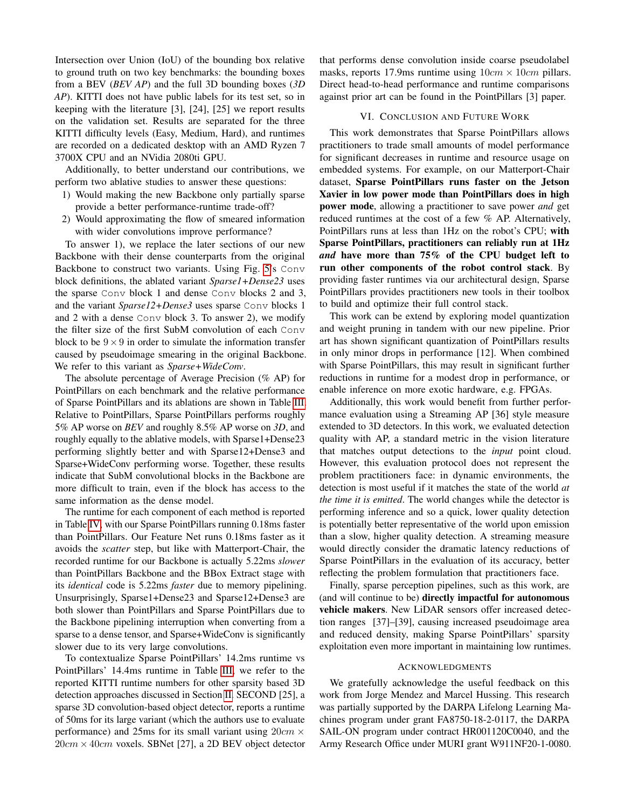Intersection over Union (IoU) of the bounding box relative to ground truth on two key benchmarks: the bounding boxes from a BEV (*BEV AP*) and the full 3D bounding boxes (*3D AP*). KITTI does not have public labels for its test set, so in keeping with the literature [3], [24], [25] we report results on the validation set. Results are separated for the three KITTI difficulty levels (Easy, Medium, Hard), and runtimes are recorded on a dedicated desktop with an AMD Ryzen 7 3700X CPU and an NVidia 2080ti GPU.

Additionally, to better understand our contributions, we perform two ablative studies to answer these questions:

- 1) Would making the new Backbone only partially sparse provide a better performance-runtime trade-off?
- 2) Would approximating the flow of smeared information with wider convolutions improve performance?

To answer 1), we replace the later sections of our new Backbone with their dense counterparts from the original Backbone to construct two variants. Using Fig. [5'](#page-3-0)s Conv block definitions, the ablated variant *Sparse1+Dense23* uses the sparse Conv block 1 and dense Conv blocks 2 and 3, and the variant *Sparse12+Dense3* uses sparse Conv blocks 1 and 2 with a dense Conv block 3. To answer 2), we modify the filter size of the first SubM convolution of each Conv block to be  $9 \times 9$  in order to simulate the information transfer caused by pseudoimage smearing in the original Backbone. We refer to this variant as *Sparse+WideConv*.

The absolute percentage of Average Precision (% AP) for PointPillars on each benchmark and the relative performance of Sparse PointPillars and its ablations are shown in Table [III.](#page-4-2) Relative to PointPillars, Sparse PointPillars performs roughly 5% AP worse on *BEV* and roughly 8.5% AP worse on *3D*, and roughly equally to the ablative models, with Sparse1+Dense23 performing slightly better and with Sparse12+Dense3 and Sparse+WideConv performing worse. Together, these results indicate that SubM convolutional blocks in the Backbone are more difficult to train, even if the block has access to the same information as the dense model.

The runtime for each component of each method is reported in Table [IV,](#page-4-3) with our Sparse PointPillars running 0.18ms faster than PointPillars. Our Feature Net runs 0.18ms faster as it avoids the *scatter* step, but like with Matterport-Chair, the recorded runtime for our Backbone is actually 5.22ms *slower* than PointPillars Backbone and the BBox Extract stage with its *identical* code is 5.22ms *faster* due to memory pipelining. Unsurprisingly, Sparse1+Dense23 and Sparse12+Dense3 are both slower than PointPillars and Sparse PointPillars due to the Backbone pipelining interruption when converting from a sparse to a dense tensor, and Sparse+WideConv is significantly slower due to its very large convolutions.

To contextualize Sparse PointPillars' 14.2ms runtime vs PointPillars' 14.4ms runtime in Table [III,](#page-4-2) we refer to the reported KITTI runtime numbers for other sparsity based 3D detection approaches discussed in Section [II.](#page-0-1) SECOND [25], a sparse 3D convolution-based object detector, reports a runtime of 50ms for its large variant (which the authors use to evaluate performance) and 25ms for its small variant using  $20cm \times$  $20cm \times 40cm$  voxels. SBNet [27], a 2D BEV object detector

that performs dense convolution inside coarse pseudolabel masks, reports 17.9ms runtime using  $10cm \times 10cm$  pillars. Direct head-to-head performance and runtime comparisons against prior art can be found in the PointPillars [3] paper.

#### VI. CONCLUSION AND FUTURE WORK

This work demonstrates that Sparse PointPillars allows practitioners to trade small amounts of model performance for significant decreases in runtime and resource usage on embedded systems. For example, on our Matterport-Chair dataset, Sparse PointPillars runs faster on the Jetson Xavier in low power mode than PointPillars does in high power mode, allowing a practitioner to save power *and* get reduced runtimes at the cost of a few % AP. Alternatively, PointPillars runs at less than 1Hz on the robot's CPU; with Sparse PointPillars, practitioners can reliably run at 1Hz *and* have more than 75% of the CPU budget left to run other components of the robot control stack. By providing faster runtimes via our architectural design, Sparse PointPillars provides practitioners new tools in their toolbox to build and optimize their full control stack.

This work can be extend by exploring model quantization and weight pruning in tandem with our new pipeline. Prior art has shown significant quantization of PointPillars results in only minor drops in performance [12]. When combined with Sparse PointPillars, this may result in significant further reductions in runtime for a modest drop in performance, or enable inference on more exotic hardware, e.g. FPGAs.

Additionally, this work would benefit from further performance evaluation using a Streaming AP [36] style measure extended to 3D detectors. In this work, we evaluated detection quality with AP, a standard metric in the vision literature that matches output detections to the *input* point cloud. However, this evaluation protocol does not represent the problem practitioners face: in dynamic environments, the detection is most useful if it matches the state of the world *at the time it is emitted*. The world changes while the detector is performing inference and so a quick, lower quality detection is potentially better representative of the world upon emission than a slow, higher quality detection. A streaming measure would directly consider the dramatic latency reductions of Sparse PointPillars in the evaluation of its accuracy, better reflecting the problem formulation that practitioners face.

Finally, sparse perception pipelines, such as this work, are (and will continue to be) directly impactful for autonomous vehicle makers. New LiDAR sensors offer increased detection ranges [37]–[39], causing increased pseudoimage area and reduced density, making Sparse PointPillars' sparsity exploitation even more important in maintaining low runtimes.

#### **ACKNOWLEDGMENTS**

We gratefully acknowledge the useful feedback on this work from Jorge Mendez and Marcel Hussing. This research was partially supported by the DARPA Lifelong Learning Machines program under grant FA8750-18-2-0117, the DARPA SAIL-ON program under contract HR001120C0040, and the Army Research Office under MURI grant W911NF20-1-0080.